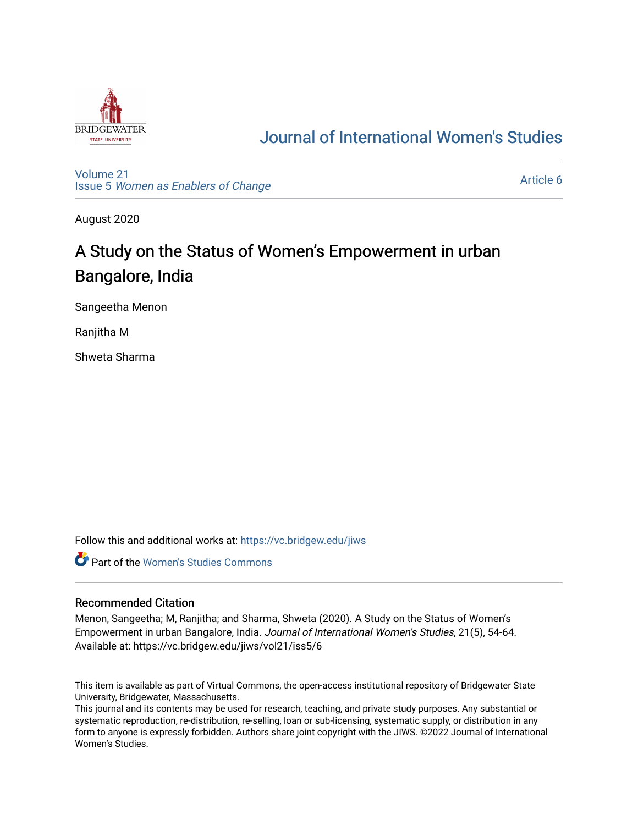

# [Journal of International Women's Studies](https://vc.bridgew.edu/jiws)

[Volume 21](https://vc.bridgew.edu/jiws/vol21) Issue 5 [Women as Enablers of Change](https://vc.bridgew.edu/jiws/vol21/iss5) 

[Article 6](https://vc.bridgew.edu/jiws/vol21/iss5/6) 

August 2020

# A Study on the Status of Women's Empowerment in urban Bangalore, India

Sangeetha Menon

Ranjitha M

Shweta Sharma

Follow this and additional works at: [https://vc.bridgew.edu/jiws](https://vc.bridgew.edu/jiws?utm_source=vc.bridgew.edu%2Fjiws%2Fvol21%2Fiss5%2F6&utm_medium=PDF&utm_campaign=PDFCoverPages)

**C** Part of the Women's Studies Commons

#### Recommended Citation

Menon, Sangeetha; M, Ranjitha; and Sharma, Shweta (2020). A Study on the Status of Women's Empowerment in urban Bangalore, India. Journal of International Women's Studies, 21(5), 54-64. Available at: https://vc.bridgew.edu/jiws/vol21/iss5/6

This item is available as part of Virtual Commons, the open-access institutional repository of Bridgewater State University, Bridgewater, Massachusetts.

This journal and its contents may be used for research, teaching, and private study purposes. Any substantial or systematic reproduction, re-distribution, re-selling, loan or sub-licensing, systematic supply, or distribution in any form to anyone is expressly forbidden. Authors share joint copyright with the JIWS. ©2022 Journal of International Women's Studies.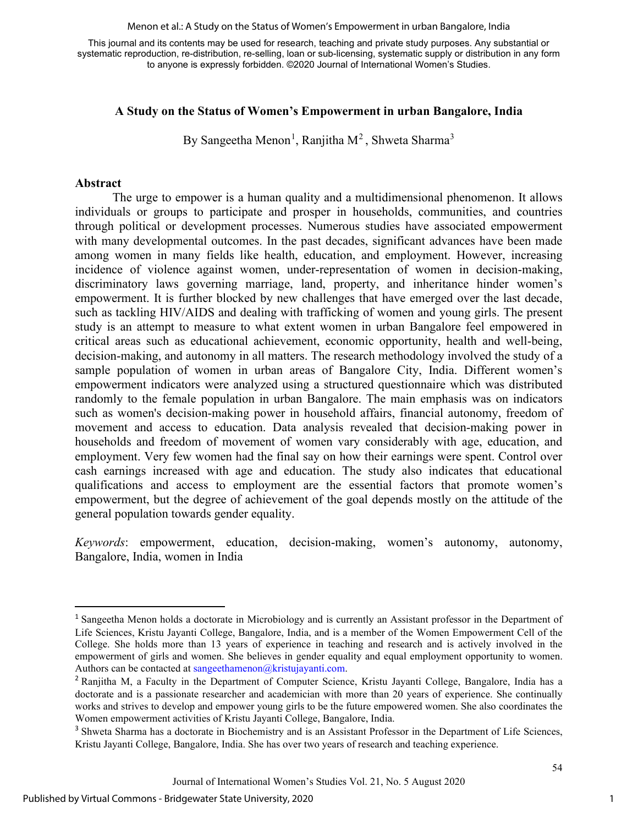Menon et al.: A Study on the Status of Women's Empowerment in urban Bangalore, India

This journal and its contents may be used for research, teaching and private study purposes. Any substantial or systematic reproduction, re-distribution, re-selling, loan or sub-licensing, systematic supply or distribution in any form to anyone is expressly forbidden. ©2020 Journal of International Women's Studies.

# **A Study on the Status of Women's Empowerment in urban Bangalore, India**

By Sangeetha Menon<sup>[1](#page-1-0)</sup>, Ranjitha M<sup>[2](#page-1-1)</sup>, Shweta Sharma<sup>[3](#page-1-2)</sup>

#### **Abstract**

The urge to empower is a human quality and a multidimensional phenomenon. It allows individuals or groups to participate and prosper in households, communities, and countries through political or development processes. Numerous studies have associated empowerment with many developmental outcomes. In the past decades, significant advances have been made among women in many fields like health, education, and employment. However, increasing incidence of violence against women, under-representation of women in decision-making, discriminatory laws governing marriage, land, property, and inheritance hinder women's empowerment. It is further blocked by new challenges that have emerged over the last decade, such as tackling HIV/AIDS and dealing with trafficking of women and young girls. The present study is an attempt to measure to what extent women in urban Bangalore feel empowered in critical areas such as educational achievement, economic opportunity, health and well-being, decision-making, and autonomy in all matters. The research methodology involved the study of a sample population of women in urban areas of Bangalore City, India. Different women's empowerment indicators were analyzed using a structured questionnaire which was distributed randomly to the female population in urban Bangalore. The main emphasis was on indicators such as women's decision-making power in household affairs, financial autonomy, freedom of movement and access to education. Data analysis revealed that decision-making power in households and freedom of movement of women vary considerably with age, education, and employment. Very few women had the final say on how their earnings were spent. Control over cash earnings increased with age and education. The study also indicates that educational qualifications and access to employment are the essential factors that promote women's empowerment, but the degree of achievement of the goal depends mostly on the attitude of the general population towards gender equality.

*Keywords*: empowerment, education, decision-making, women's autonomy, autonomy, Bangalore, India, women in India

<span id="page-1-0"></span><sup>&</sup>lt;sup>1</sup> Sangeetha Menon holds a doctorate in Microbiology and is currently an Assistant professor in the Department of Life Sciences, Kristu Jayanti College, Bangalore, India, and is a member of the Women Empowerment Cell of the College. She holds more than 13 years of experience in teaching and research and is actively involved in the empowerment of girls and women. She believes in gender equality and equal employment opportunity to women. Authors can be contacted a[t sangeethamenon@kristujayanti.com.](mailto:sangeethamenon@kristujayanti.com)

<span id="page-1-1"></span><sup>&</sup>lt;sup>2</sup> Ranjitha M, a Faculty in the Department of Computer Science, Kristu Jayanti College, Bangalore, India has a doctorate and is a passionate researcher and academician with more than 20 years of experience. She continually works and strives to develop and empower young girls to be the future empowered women. She also coordinates the Women empowerment activities of Kristu Jayanti College, Bangalore, India.

<span id="page-1-2"></span><sup>&</sup>lt;sup>3</sup> Shweta Sharma has a doctorate in Biochemistry and is an Assistant Professor in the Department of Life Sciences, Kristu Jayanti College, Bangalore, India. She has over two years of research and teaching experience.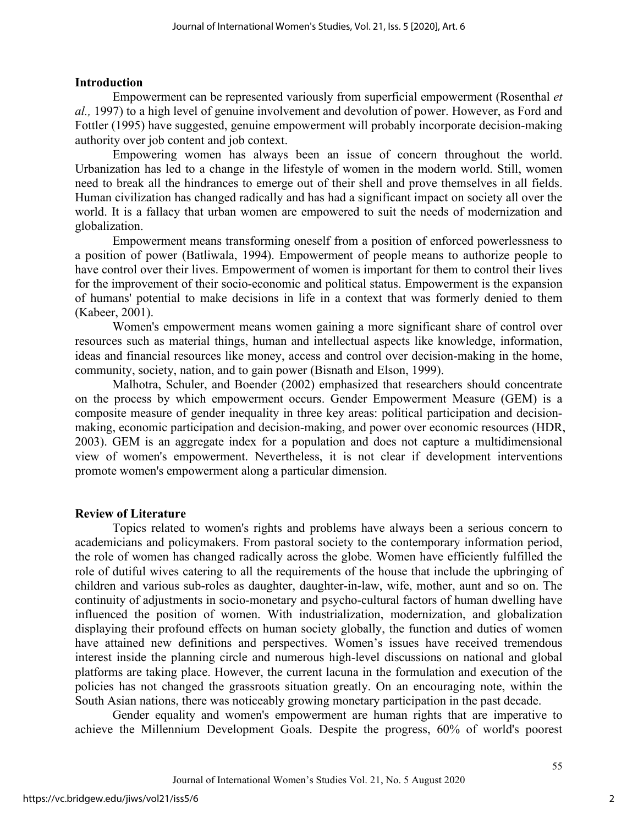## **Introduction**

Empowerment can be represented variously from superficial empowerment (Rosenthal *et al.,* 1997) to a high level of genuine involvement and devolution of power. However, as Ford and Fottler (1995) have suggested, genuine empowerment will probably incorporate decision-making authority over job content and job context.

Empowering women has always been an issue of concern throughout the world. Urbanization has led to a change in the lifestyle of women in the modern world. Still, women need to break all the hindrances to emerge out of their shell and prove themselves in all fields. Human civilization has changed radically and has had a significant impact on society all over the world. It is a fallacy that urban women are empowered to suit the needs of modernization and globalization.

Empowerment means transforming oneself from a position of enforced powerlessness to a position of power (Batliwala, 1994). Empowerment of people means to authorize people to have control over their lives. Empowerment of women is important for them to control their lives for the improvement of their socio-economic and political status. Empowerment is the expansion of humans' potential to make decisions in life in a context that was formerly denied to them (Kabeer, 2001).

Women's empowerment means women gaining a more significant share of control over resources such as material things, human and intellectual aspects like knowledge, information, ideas and financial resources like money, access and control over decision-making in the home, community, society, nation, and to gain power (Bisnath and Elson, 1999).

Malhotra, Schuler, and Boender (2002) emphasized that researchers should concentrate on the process by which empowerment occurs. Gender Empowerment Measure (GEM) is a composite measure of gender inequality in three key areas: political participation and decisionmaking, economic participation and decision-making, and power over economic resources (HDR, 2003). GEM is an aggregate index for a population and does not capture a multidimensional view of women's empowerment. Nevertheless, it is not clear if development interventions promote women's empowerment along a particular dimension.

## **Review of Literature**

Topics related to women's rights and problems have always been a serious concern to academicians and policymakers. From pastoral society to the contemporary information period, the role of women has changed radically across the globe. Women have efficiently fulfilled the role of dutiful wives catering to all the requirements of the house that include the upbringing of children and various sub-roles as daughter, daughter-in-law, wife, mother, aunt and so on. The continuity of adjustments in socio-monetary and psycho-cultural factors of human dwelling have influenced the position of women. With industrialization, modernization, and globalization displaying their profound effects on human society globally, the function and duties of women have attained new definitions and perspectives. Women's issues have received tremendous interest inside the planning circle and numerous high-level discussions on national and global platforms are taking place. However, the current lacuna in the formulation and execution of the policies has not changed the grassroots situation greatly. On an encouraging note, within the South Asian nations, there was noticeably growing monetary participation in the past decade.

Gender equality and women's empowerment are human rights that are imperative to achieve the Millennium Development Goals. Despite the progress, 60% of world's poorest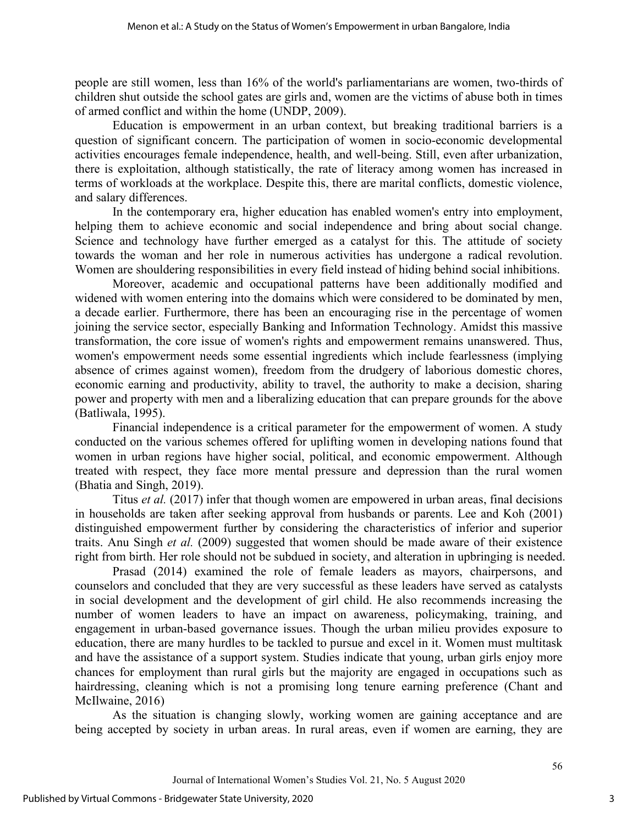people are still women, less than 16% of the world's parliamentarians are women, two-thirds of children shut outside the school gates are girls and, women are the victims of abuse both in times of armed conflict and within the home (UNDP, 2009).

Education is empowerment in an urban context, but breaking traditional barriers is a question of significant concern. The participation of women in socio-economic developmental activities encourages female independence, health, and well-being. Still, even after urbanization, there is exploitation, although statistically, the rate of literacy among women has increased in terms of workloads at the workplace. Despite this, there are marital conflicts, domestic violence, and salary differences.

In the contemporary era, higher education has enabled women's entry into employment, helping them to achieve economic and social independence and bring about social change. Science and technology have further emerged as a catalyst for this. The attitude of society towards the woman and her role in numerous activities has undergone a radical revolution. Women are shouldering responsibilities in every field instead of hiding behind social inhibitions.

Moreover, academic and occupational patterns have been additionally modified and widened with women entering into the domains which were considered to be dominated by men, a decade earlier. Furthermore, there has been an encouraging rise in the percentage of women joining the service sector, especially Banking and Information Technology. Amidst this massive transformation, the core issue of women's rights and empowerment remains unanswered. Thus, women's empowerment needs some essential ingredients which include fearlessness (implying absence of crimes against women), freedom from the drudgery of laborious domestic chores, economic earning and productivity, ability to travel, the authority to make a decision, sharing power and property with men and a liberalizing education that can prepare grounds for the above (Batliwala, 1995).

Financial independence is a critical parameter for the empowerment of women. A study conducted on the various schemes offered for uplifting women in developing nations found that women in urban regions have higher social, political, and economic empowerment. Although treated with respect, they face more mental pressure and depression than the rural women (Bhatia and Singh, 2019).

Titus *et al.* (2017) infer that though women are empowered in urban areas, final decisions in households are taken after seeking approval from husbands or parents. Lee and Koh (2001) distinguished empowerment further by considering the characteristics of inferior and superior traits. Anu Singh *et al.* (2009) suggested that women should be made aware of their existence right from birth. Her role should not be subdued in society, and alteration in upbringing is needed.

Prasad (2014) examined the role of female leaders as mayors, chairpersons, and counselors and concluded that they are very successful as these leaders have served as catalysts in social development and the development of girl child. He also recommends increasing the number of women leaders to have an impact on awareness, policymaking, training, and engagement in urban-based governance issues. Though the urban milieu provides exposure to education, there are many hurdles to be tackled to pursue and excel in it. Women must multitask and have the assistance of a support system. Studies indicate that young, urban girls enjoy more chances for employment than rural girls but the majority are engaged in occupations such as hairdressing, cleaning which is not a promising long tenure earning preference (Chant and McIlwaine, 2016)

As the situation is changing slowly, working women are gaining acceptance and are being accepted by society in urban areas. In rural areas, even if women are earning, they are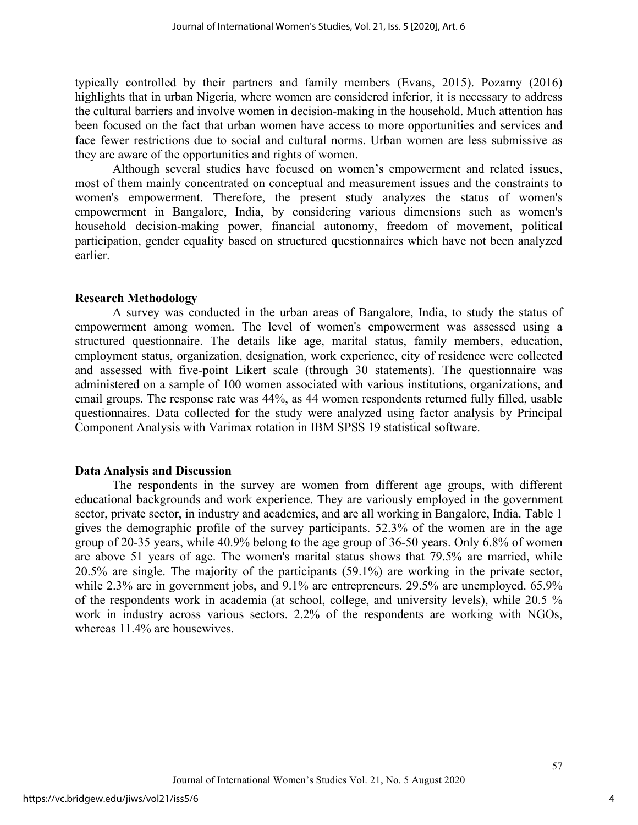typically controlled by their partners and family members (Evans, 2015). Pozarny (2016) highlights that in urban Nigeria, where women are considered inferior, it is necessary to address the cultural barriers and involve women in decision-making in the household. Much attention has been focused on the fact that urban women have access to more opportunities and services and face fewer restrictions due to social and cultural norms. Urban women are less submissive as they are aware of the opportunities and rights of women.

Although several studies have focused on women's empowerment and related issues, most of them mainly concentrated on conceptual and measurement issues and the constraints to women's empowerment. Therefore, the present study analyzes the status of women's empowerment in Bangalore, India, by considering various dimensions such as women's household decision-making power, financial autonomy, freedom of movement, political participation, gender equality based on structured questionnaires which have not been analyzed earlier.

#### **Research Methodology**

A survey was conducted in the urban areas of Bangalore, India, to study the status of empowerment among women. The level of women's empowerment was assessed using a structured questionnaire. The details like age, marital status, family members, education, employment status, organization, designation, work experience, city of residence were collected and assessed with five-point Likert scale (through 30 statements). The questionnaire was administered on a sample of 100 women associated with various institutions, organizations, and email groups. The response rate was 44%, as 44 women respondents returned fully filled, usable questionnaires. Data collected for the study were analyzed using factor analysis by Principal Component Analysis with Varimax rotation in IBM SPSS 19 statistical software.

#### **Data Analysis and Discussion**

The respondents in the survey are women from different age groups, with different educational backgrounds and work experience. They are variously employed in the government sector, private sector, in industry and academics, and are all working in Bangalore, India. Table 1 gives the demographic profile of the survey participants. 52.3% of the women are in the age group of 20-35 years, while 40.9% belong to the age group of 36-50 years. Only 6.8% of women are above 51 years of age. The women's marital status shows that 79.5% are married, while 20.5% are single. The majority of the participants (59.1%) are working in the private sector, while 2.3% are in government jobs, and 9.1% are entrepreneurs. 29.5% are unemployed. 65.9% of the respondents work in academia (at school, college, and university levels), while 20.5 % work in industry across various sectors. 2.2% of the respondents are working with NGOs, whereas 11.4% are housewives.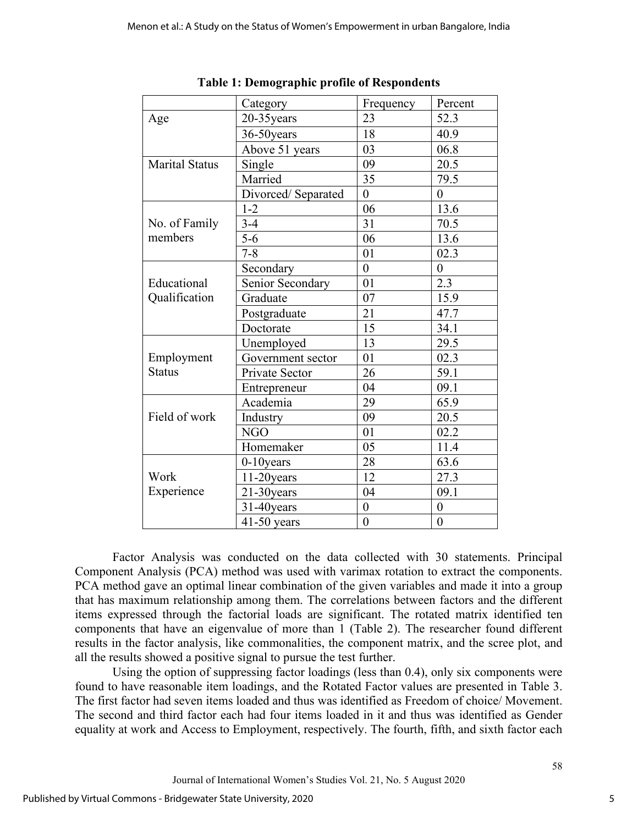|                       | Category           | Frequency      | Percent          |
|-----------------------|--------------------|----------------|------------------|
| Age                   | 20-35 years        | 23             | 52.3             |
|                       | 36-50years         | 18             | 40.9             |
|                       | Above 51 years     | 03             | 06.8             |
| <b>Marital Status</b> | Single             | 09             | 20.5             |
|                       | Married            | 35             | 79.5             |
|                       | Divorced/Separated | $\overline{0}$ | $\theta$         |
|                       | $1 - 2$            | 06             | 13.6             |
| No. of Family         | $3-4$              | 31             | 70.5             |
| members               | $5-6$              | 06             | 13.6             |
|                       | $7 - 8$            | 01             | 02.3             |
|                       | Secondary          | $\overline{0}$ | $\boldsymbol{0}$ |
| Educational           | Senior Secondary   | 01             | 2.3              |
| Qualification         | Graduate           | 07             | 15.9             |
|                       | Postgraduate       | 21             | 47.7             |
|                       | Doctorate          | 15             | 34.1             |
|                       | Unemployed         | 13             | 29.5             |
| Employment            | Government sector  | 01             | 02.3             |
| <b>Status</b>         | Private Sector     | 26             | 59.1             |
|                       | Entrepreneur       | 04             | 09.1             |
|                       | Academia           | 29             | 65.9             |
| Field of work         | Industry           | 09             | 20.5             |
|                       | <b>NGO</b>         | 01             | 02.2             |
|                       | Homemaker          | 05             | 11.4             |
|                       | $0-10$ years       | 28             | 63.6             |
| Work                  | $11-20$ years      | 12             | 27.3             |
| Experience            | $21-30$ years      | 04             | 09.1             |
|                       | $31-40$ years      | $\overline{0}$ | $\boldsymbol{0}$ |
|                       | $41-50$ years      | $\overline{0}$ | $\overline{0}$   |

**Table 1: Demographic profile of Respondents**

Factor Analysis was conducted on the data collected with 30 statements. Principal Component Analysis (PCA) method was used with varimax rotation to extract the components. PCA method gave an optimal linear combination of the given variables and made it into a group that has maximum relationship among them. The correlations between factors and the different items expressed through the factorial loads are significant. The rotated matrix identified ten components that have an eigenvalue of more than 1 (Table 2). The researcher found different results in the factor analysis, like commonalities, the component matrix, and the scree plot, and all the results showed a positive signal to pursue the test further.

Using the option of suppressing factor loadings (less than 0.4), only six components were found to have reasonable item loadings, and the Rotated Factor values are presented in Table 3. The first factor had seven items loaded and thus was identified as Freedom of choice/ Movement. The second and third factor each had four items loaded in it and thus was identified as Gender equality at work and Access to Employment, respectively. The fourth, fifth, and sixth factor each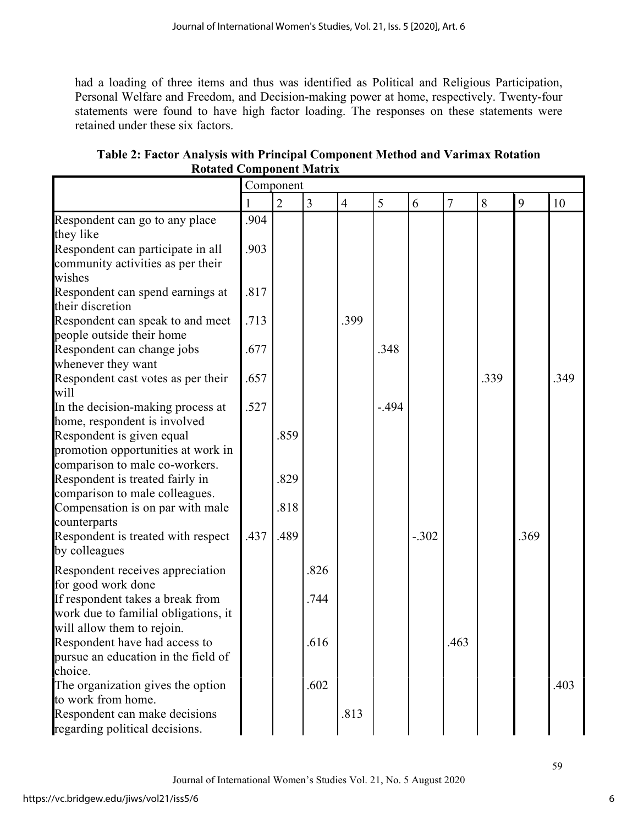had a loading of three items and thus was identified as Political and Religious Participation, Personal Welfare and Freedom, and Decision-making power at home, respectively. Twenty-four statements were found to have high factor loading. The responses on these statements were retained under these six factors.

**Table 2: Factor Analysis with Principal Component Method and Varimax Rotation Rotated Component Matrix**

|                                                                                                    | Component    |                |      |                |         |         |                |      |      |      |
|----------------------------------------------------------------------------------------------------|--------------|----------------|------|----------------|---------|---------|----------------|------|------|------|
|                                                                                                    |              | $\overline{2}$ | 3    | $\overline{4}$ | 5       | 6       | $\overline{7}$ | 8    | 9    | 10   |
| Respondent can go to any place<br>they like<br>Respondent can participate in all                   | .904<br>.903 |                |      |                |         |         |                |      |      |      |
| community activities as per their<br>wishes                                                        |              |                |      |                |         |         |                |      |      |      |
| Respondent can spend earnings at<br>their discretion                                               | .817         |                |      |                |         |         |                |      |      |      |
| Respondent can speak to and meet<br>people outside their home                                      | .713         |                |      | .399           |         |         |                |      |      |      |
| Respondent can change jobs<br>whenever they want                                                   | .677         |                |      |                | .348    |         |                |      |      |      |
| Respondent cast votes as per their<br>will                                                         | .657         |                |      |                |         |         |                | .339 |      | .349 |
| In the decision-making process at<br>home, respondent is involved                                  | .527         |                |      |                | $-.494$ |         |                |      |      |      |
| Respondent is given equal<br>promotion opportunities at work in<br>comparison to male co-workers.  |              | .859           |      |                |         |         |                |      |      |      |
| Respondent is treated fairly in<br>comparison to male colleagues.                                  |              | .829           |      |                |         |         |                |      |      |      |
| Compensation is on par with male<br>counterparts                                                   |              | .818           |      |                |         |         |                |      |      |      |
| Respondent is treated with respect<br>by colleagues                                                | .437         | .489           |      |                |         | $-.302$ |                |      | .369 |      |
| Respondent receives appreciation<br>for good work done                                             |              |                | .826 |                |         |         |                |      |      |      |
| If respondent takes a break from<br>work due to familial obligations, it                           |              |                | .744 |                |         |         |                |      |      |      |
| will allow them to rejoin.<br>Respondent have had access to<br>pursue an education in the field of |              |                | .616 |                |         |         | .463           |      |      |      |
| choice.<br>The organization gives the option<br>to work from home.                                 |              |                | .602 |                |         |         |                |      |      | .403 |
| Respondent can make decisions<br>regarding political decisions.                                    |              |                |      | .813           |         |         |                |      |      |      |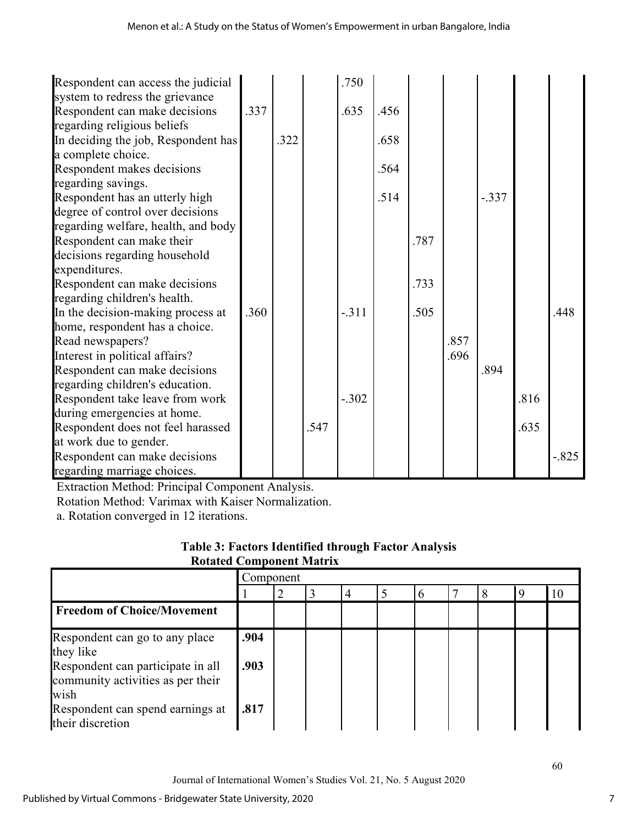| Respondent can access the judicial  |      |      |      | .750    |      |      |      |         |      |         |
|-------------------------------------|------|------|------|---------|------|------|------|---------|------|---------|
| system to redress the grievance     |      |      |      |         |      |      |      |         |      |         |
| Respondent can make decisions       | .337 |      |      | .635    | .456 |      |      |         |      |         |
| regarding religious beliefs         |      |      |      |         |      |      |      |         |      |         |
| In deciding the job, Respondent has |      | .322 |      |         | .658 |      |      |         |      |         |
| a complete choice.                  |      |      |      |         |      |      |      |         |      |         |
| Respondent makes decisions          |      |      |      |         | .564 |      |      |         |      |         |
| regarding savings.                  |      |      |      |         |      |      |      |         |      |         |
| Respondent has an utterly high      |      |      |      |         | .514 |      |      | $-.337$ |      |         |
| degree of control over decisions    |      |      |      |         |      |      |      |         |      |         |
| regarding welfare, health, and body |      |      |      |         |      |      |      |         |      |         |
| Respondent can make their           |      |      |      |         |      | .787 |      |         |      |         |
| decisions regarding household       |      |      |      |         |      |      |      |         |      |         |
| expenditures.                       |      |      |      |         |      |      |      |         |      |         |
| Respondent can make decisions       |      |      |      |         |      | .733 |      |         |      |         |
| regarding children's health.        |      |      |      |         |      |      |      |         |      |         |
| In the decision-making process at   | .360 |      |      | $-.311$ |      | .505 |      |         |      | .448    |
| home, respondent has a choice.      |      |      |      |         |      |      |      |         |      |         |
| Read newspapers?                    |      |      |      |         |      |      | .857 |         |      |         |
| Interest in political affairs?      |      |      |      |         |      |      | .696 |         |      |         |
| Respondent can make decisions       |      |      |      |         |      |      |      | .894    |      |         |
| regarding children's education.     |      |      |      |         |      |      |      |         |      |         |
| Respondent take leave from work     |      |      |      | $-.302$ |      |      |      |         | .816 |         |
| during emergencies at home.         |      |      |      |         |      |      |      |         |      |         |
| Respondent does not feel harassed   |      |      | .547 |         |      |      |      |         | .635 |         |
| at work due to gender.              |      |      |      |         |      |      |      |         |      |         |
| Respondent can make decisions       |      |      |      |         |      |      |      |         |      | $-.825$ |
| regarding marriage choices.         |      |      |      |         |      |      |      |         |      |         |

Extraction Method: Principal Component Analysis.

Rotation Method: Varimax with Kaiser Normalization.

a. Rotation converged in 12 iterations.

|                                 |  | <b>Table 3: Factors Identified through Factor Analysis</b> |
|---------------------------------|--|------------------------------------------------------------|
| <b>Rotated Component Matrix</b> |  |                                                            |

|                                                                                  | Component    |  |  |  |  |  |  |  |  |  |
|----------------------------------------------------------------------------------|--------------|--|--|--|--|--|--|--|--|--|
|                                                                                  |              |  |  |  |  |  |  |  |  |  |
| <b>Freedom of Choice/Movement</b>                                                |              |  |  |  |  |  |  |  |  |  |
| Respondent can go to any place<br>they like<br>Respondent can participate in all | .904<br>.903 |  |  |  |  |  |  |  |  |  |
| community activities as per their<br>wish                                        |              |  |  |  |  |  |  |  |  |  |
| Respondent can spend earnings at<br>their discretion                             | .817         |  |  |  |  |  |  |  |  |  |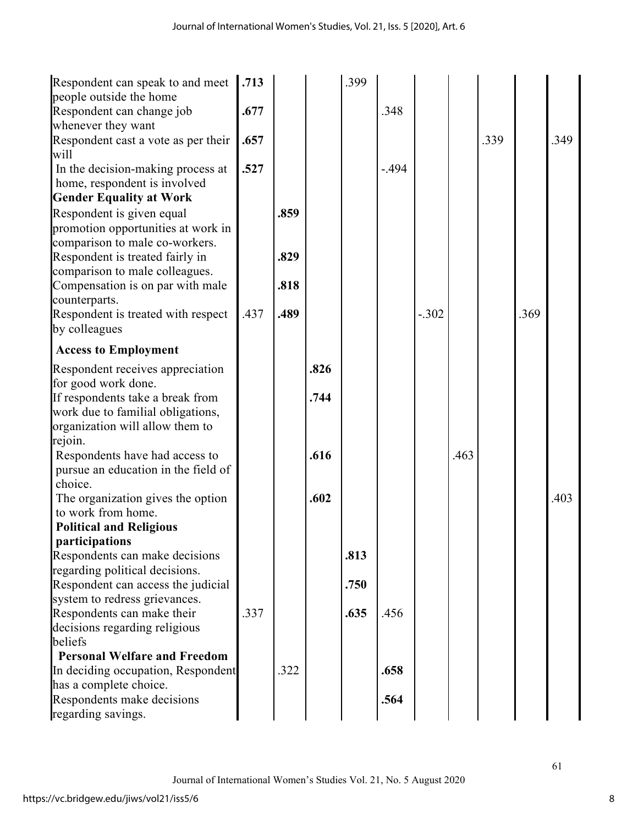| Respondent can speak to and meet                        | .713 |      |      | .399 |         |         |      |      |      |      |
|---------------------------------------------------------|------|------|------|------|---------|---------|------|------|------|------|
| people outside the home                                 |      |      |      |      |         |         |      |      |      |      |
| Respondent can change job                               | .677 |      |      |      | .348    |         |      |      |      |      |
| whenever they want                                      |      |      |      |      |         |         |      |      |      |      |
| Respondent cast a vote as per their<br>will             | .657 |      |      |      |         |         |      | .339 |      | .349 |
| In the decision-making process at                       | .527 |      |      |      | $-.494$ |         |      |      |      |      |
| home, respondent is involved                            |      |      |      |      |         |         |      |      |      |      |
| <b>Gender Equality at Work</b>                          |      |      |      |      |         |         |      |      |      |      |
| Respondent is given equal                               |      | .859 |      |      |         |         |      |      |      |      |
| promotion opportunities at work in                      |      |      |      |      |         |         |      |      |      |      |
| comparison to male co-workers.                          |      |      |      |      |         |         |      |      |      |      |
| Respondent is treated fairly in                         |      | .829 |      |      |         |         |      |      |      |      |
| comparison to male colleagues.                          |      |      |      |      |         |         |      |      |      |      |
| Compensation is on par with male                        |      | .818 |      |      |         |         |      |      |      |      |
| counterparts.                                           |      |      |      |      |         |         |      |      |      |      |
| Respondent is treated with respect                      | .437 | .489 |      |      |         | $-.302$ |      |      | .369 |      |
| by colleagues                                           |      |      |      |      |         |         |      |      |      |      |
| <b>Access to Employment</b>                             |      |      |      |      |         |         |      |      |      |      |
| Respondent receives appreciation                        |      |      | .826 |      |         |         |      |      |      |      |
| for good work done.                                     |      |      |      |      |         |         |      |      |      |      |
| If respondents take a break from                        |      |      | .744 |      |         |         |      |      |      |      |
| work due to familial obligations,                       |      |      |      |      |         |         |      |      |      |      |
| organization will allow them to                         |      |      |      |      |         |         |      |      |      |      |
| rejoin.                                                 |      |      |      |      |         |         |      |      |      |      |
| Respondents have had access to                          |      |      | .616 |      |         |         | .463 |      |      |      |
| pursue an education in the field of                     |      |      |      |      |         |         |      |      |      |      |
| choice.                                                 |      |      |      |      |         |         |      |      |      |      |
| The organization gives the option                       |      |      | .602 |      |         |         |      |      |      | .403 |
| to work from home.                                      |      |      |      |      |         |         |      |      |      |      |
| <b>Political and Religious</b>                          |      |      |      |      |         |         |      |      |      |      |
| <i>participations</i><br>Respondents can make decisions |      |      |      | .813 |         |         |      |      |      |      |
| regarding political decisions.                          |      |      |      |      |         |         |      |      |      |      |
| Respondent can access the judicial                      |      |      |      | .750 |         |         |      |      |      |      |
| system to redress grievances.                           |      |      |      |      |         |         |      |      |      |      |
| Respondents can make their                              | .337 |      |      | .635 | .456    |         |      |      |      |      |
| decisions regarding religious                           |      |      |      |      |         |         |      |      |      |      |
| beliefs                                                 |      |      |      |      |         |         |      |      |      |      |
| <b>Personal Welfare and Freedom</b>                     |      |      |      |      |         |         |      |      |      |      |
| In deciding occupation, Respondent                      |      | .322 |      |      | .658    |         |      |      |      |      |
| has a complete choice.                                  |      |      |      |      |         |         |      |      |      |      |
| Respondents make decisions                              |      |      |      |      | .564    |         |      |      |      |      |
| regarding savings.                                      |      |      |      |      |         |         |      |      |      |      |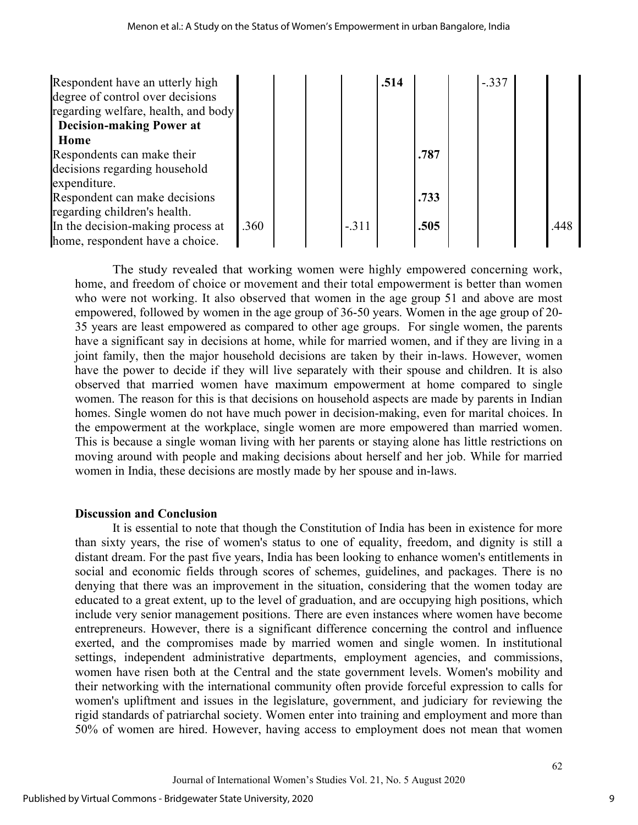| Respondent have an utterly high<br>degree of control over decisions<br>regarding welfare, health, and body |      |  |         | .514 |      | $-.337$ |      |
|------------------------------------------------------------------------------------------------------------|------|--|---------|------|------|---------|------|
| <b>Decision-making Power at</b>                                                                            |      |  |         |      |      |         |      |
| Home                                                                                                       |      |  |         |      |      |         |      |
| Respondents can make their                                                                                 |      |  |         |      | .787 |         |      |
| decisions regarding household                                                                              |      |  |         |      |      |         |      |
| expenditure.                                                                                               |      |  |         |      |      |         |      |
| Respondent can make decisions                                                                              |      |  |         |      | .733 |         |      |
| regarding children's health.                                                                               |      |  |         |      |      |         |      |
| In the decision-making process at                                                                          | .360 |  | $-.311$ |      | .505 |         | .448 |
| home, respondent have a choice.                                                                            |      |  |         |      |      |         |      |

The study revealed that working women were highly empowered concerning work, home, and freedom of choice or movement and their total empowerment is better than women who were not working. It also observed that women in the age group 51 and above are most empowered, followed by women in the age group of 36-50 years. Women in the age group of 20- 35 years are least empowered as compared to other age groups. For single women, the parents have a significant say in decisions at home, while for married women, and if they are living in a joint family, then the major household decisions are taken by their in-laws. However, women have the power to decide if they will live separately with their spouse and children. It is also observed that married women have maximum empowerment at home compared to single women. The reason for this is that decisions on household aspects are made by parents in Indian homes. Single women do not have much power in decision-making, even for marital choices. In the empowerment at the workplace, single women are more empowered than married women. This is because a single woman living with her parents or staying alone has little restrictions on moving around with people and making decisions about herself and her job. While for married women in India, these decisions are mostly made by her spouse and in-laws.

## **Discussion and Conclusion**

It is essential to note that though the Constitution of India has been in existence for more than sixty years, the rise of women's status to one of equality, freedom, and dignity is still a distant dream. For the past five years, India has been looking to enhance women's entitlements in social and economic fields through scores of schemes, guidelines, and packages. There is no denying that there was an improvement in the situation, considering that the women today are educated to a great extent, up to the level of graduation, and are occupying high positions, which include very senior management positions. There are even instances where women have become entrepreneurs. However, there is a significant difference concerning the control and influence exerted, and the compromises made by married women and single women. In institutional settings, independent administrative departments, employment agencies, and commissions, women have risen both at the Central and the state government levels. Women's mobility and their networking with the international community often provide forceful expression to calls for women's upliftment and issues in the legislature, government, and judiciary for reviewing the rigid standards of patriarchal society. Women enter into training and employment and more than 50% of women are hired. However, having access to employment does not mean that women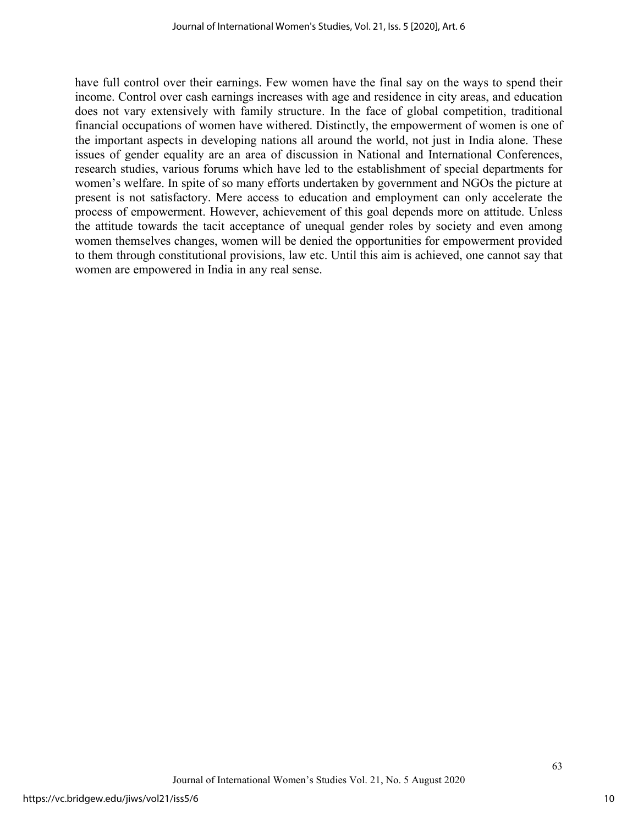have full control over their earnings. Few women have the final say on the ways to spend their income. Control over cash earnings increases with age and residence in city areas, and education does not vary extensively with family structure. In the face of global competition, traditional financial occupations of women have withered. Distinctly, the empowerment of women is one of the important aspects in developing nations all around the world, not just in India alone. These issues of gender equality are an area of discussion in National and International Conferences, research studies, various forums which have led to the establishment of special departments for women's welfare. In spite of so many efforts undertaken by government and NGOs the picture at present is not satisfactory. Mere access to education and employment can only accelerate the process of empowerment. However, achievement of this goal depends more on attitude. Unless the attitude towards the tacit acceptance of unequal gender roles by society and even among women themselves changes, women will be denied the opportunities for empowerment provided to them through constitutional provisions, law etc. Until this aim is achieved, one cannot say that women are empowered in India in any real sense.